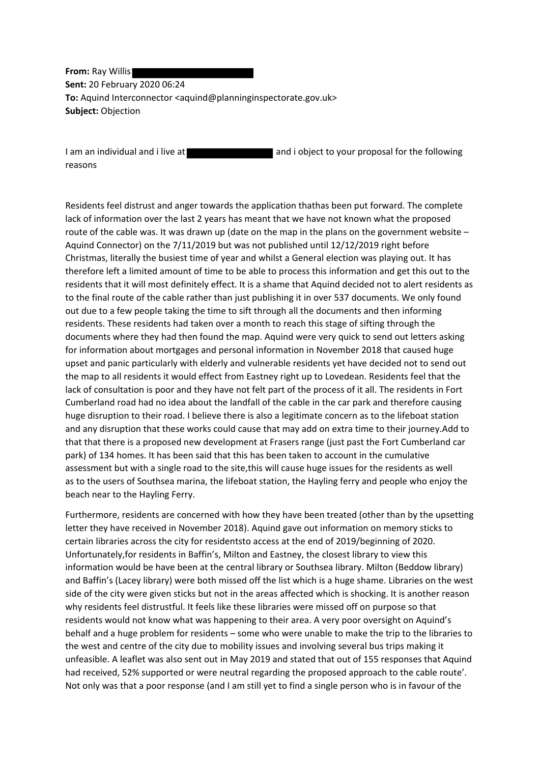**From:** Ray Willis **Sent:** 20 February 2020 06:24 **To:** Aquind Interconnector <aquind@planninginspectorate.gov.uk> **Subject:** Objection

I am an individual and i live at and i object to your proposal for the following reasons

Residents feel distrust and anger towards the application thathas been put forward. The complete lack of information over the last 2 years has meant that we have not known what the proposed route of the cable was. It was drawn up (date on the map in the plans on the government website – Aquind Connector) on the 7/11/2019 but was not published until 12/12/2019 right before Christmas, literally the busiest time of year and whilst a General election was playing out. It has therefore left a limited amount of time to be able to process this information and get this out to the residents that it will most definitely effect. It is a shame that Aquind decided not to alert residents as to the final route of the cable rather than just publishing it in over 537 documents. We only found out due to a few people taking the time to sift through all the documents and then informing residents. These residents had taken over a month to reach this stage of sifting through the documents where they had then found the map. Aquind were very quick to send out letters asking for information about mortgages and personal information in November 2018 that caused huge upset and panic particularly with elderly and vulnerable residents yet have decided not to send out the map to all residents it would effect from Eastney right up to Lovedean. Residents feel that the lack of consultation is poor and they have not felt part of the process of it all. The residents in Fort Cumberland road had no idea about the landfall of the cable in the car park and therefore causing huge disruption to their road. I believe there is also a legitimate concern as to the lifeboat station and any disruption that these works could cause that may add on extra time to their journey.Add to that that there is a proposed new development at Frasers range (just past the Fort Cumberland car park) of 134 homes. It has been said that this has been taken to account in the cumulative assessment but with a single road to the site,this will cause huge issues for the residents as well as to the users of Southsea marina, the lifeboat station, the Hayling ferry and people who enjoy the beach near to the Hayling Ferry.

Furthermore, residents are concerned with how they have been treated (other than by the upsetting letter they have received in November 2018). Aquind gave out information on memory sticks to certain libraries across the city for residentsto access at the end of 2019/beginning of 2020. Unfortunately,for residents in Baffin's, Milton and Eastney, the closest library to view this information would be have been at the central library or Southsea library. Milton (Beddow library) and Baffin's (Lacey library) were both missed off the list which is a huge shame. Libraries on the west side of the city were given sticks but not in the areas affected which is shocking. It is another reason why residents feel distrustful. It feels like these libraries were missed off on purpose so that residents would not know what was happening to their area. A very poor oversight on Aquind's behalf and a huge problem for residents – some who were unable to make the trip to the libraries to the west and centre of the city due to mobility issues and involving several bus trips making it unfeasible. A leaflet was also sent out in May 2019 and stated that out of 155 responses that Aquind had received, 52% supported or were neutral regarding the proposed approach to the cable route'. Not only was that a poor response (and I am still yet to find a single person who is in favour of the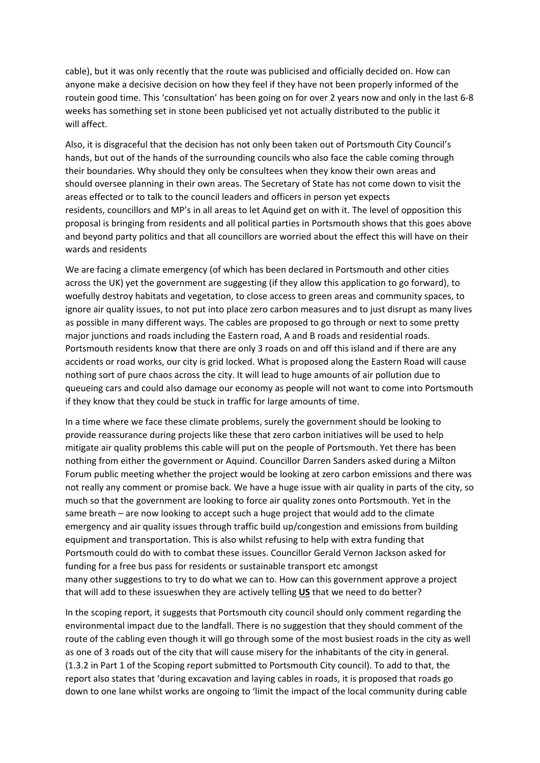cable), but it was only recently that the route was publicised and officially decided on. How can anyone make a decisive decision on how they feel if they have not been properly informed of the routein good time. This 'consultation' has been going on for over 2 years now and only in the last 6-8 weeks has something set in stone been publicised yet not actually distributed to the public it will affect.

Also, it is disgraceful that the decision has not only been taken out of Portsmouth City Council's hands, but out of the hands of the surrounding councils who also face the cable coming through their boundaries. Why should they only be consultees when they know their own areas and should oversee planning in their own areas. The Secretary of State has not come down to visit the areas effected or to talk to the council leaders and officers in person yet expects residents, councillors and MP's in all areas to let Aquind get on with it. The level of opposition this proposal is bringing from residents and all political parties in Portsmouth shows that this goes above and beyond party politics and that all councillors are worried about the effect this will have on their wards and residents

We are facing a climate emergency (of which has been declared in Portsmouth and other cities across the UK) yet the government are suggesting (if they allow this application to go forward), to woefully destroy habitats and vegetation, to close access to green areas and community spaces, to ignore air quality issues, to not put into place zero carbon measures and to just disrupt as many lives as possible in many different ways. The cables are proposed to go through or next to some pretty major junctions and roads including the Eastern road, A and B roads and residential roads. Portsmouth residents know that there are only 3 roads on and off this island and if there are any accidents or road works, our city is grid locked. What is proposed along the Eastern Road will cause nothing sort of pure chaos across the city. It will lead to huge amounts of air pollution due to queueing cars and could also damage our economy as people will not want to come into Portsmouth if they know that they could be stuck in traffic for large amounts of time.

In a time where we face these climate problems, surely the government should be looking to provide reassurance during projects like these that zero carbon initiatives will be used to help mitigate air quality problems this cable will put on the people of Portsmouth. Yet there has been nothing from either the government or Aquind. Councillor Darren Sanders asked during a Milton Forum public meeting whether the project would be looking at zero carbon emissions and there was not really any comment or promise back. We have a huge issue with air quality in parts of the city, so much so that the government are looking to force air quality zones onto Portsmouth. Yet in the same breath – are now looking to accept such a huge project that would add to the climate emergency and air quality issues through traffic build up/congestion and emissions from building equipment and transportation. This is also whilst refusing to help with extra funding that Portsmouth could do with to combat these issues. Councillor Gerald Vernon Jackson asked for funding for a free bus pass for residents or sustainable transport etc amongst many other suggestions to try to do what we can to. How can this government approve a project that will add to these issueswhen they are actively telling **US** that we need to do better?

In the scoping report, it suggests that Portsmouth city council should only comment regarding the environmental impact due to the landfall. There is no suggestion that they should comment of the route of the cabling even though it will go through some of the most busiest roads in the city as well as one of 3 roads out of the city that will cause misery for the inhabitants of the city in general. (1.3.2 in Part 1 of the Scoping report submitted to Portsmouth City council). To add to that, the report also states that 'during excavation and laying cables in roads, it is proposed that roads go down to one lane whilst works are ongoing to 'limit the impact of the local community during cable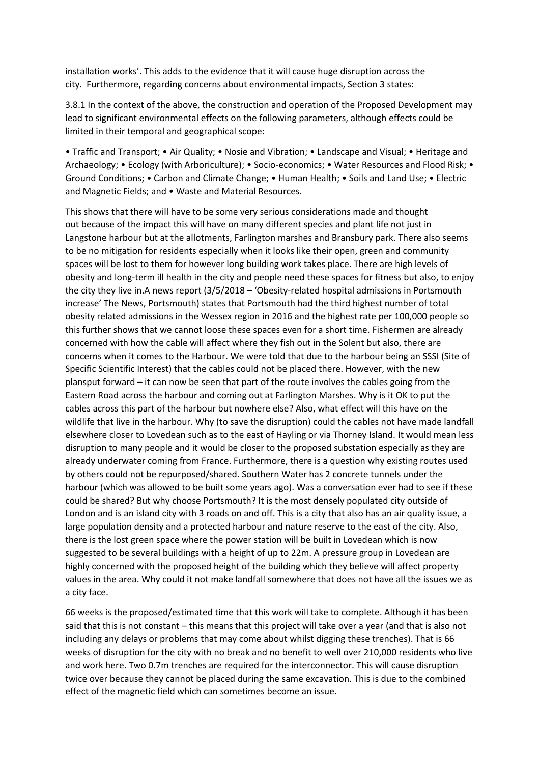installation works'. This adds to the evidence that it will cause huge disruption across the city. Furthermore, regarding concerns about environmental impacts, Section 3 states:

3.8.1 In the context of the above, the construction and operation of the Proposed Development may lead to significant environmental effects on the following parameters, although effects could be limited in their temporal and geographical scope:

• Traffic and Transport; • Air Quality; • Nosie and Vibration; • Landscape and Visual; • Heritage and Archaeology; • Ecology (with Arboriculture); • Socio-economics; • Water Resources and Flood Risk; • Ground Conditions; • Carbon and Climate Change; • Human Health; • Soils and Land Use; • Electric and Magnetic Fields; and • Waste and Material Resources.

This shows that there will have to be some very serious considerations made and thought out because of the impact this will have on many different species and plant life not just in Langstone harbour but at the allotments, Farlington marshes and Bransbury park. There also seems to be no mitigation for residents especially when it looks like their open, green and community spaces will be lost to them for however long building work takes place. There are high levels of obesity and long-term ill health in the city and people need these spaces for fitness but also, to enjoy the city they live in.A news report (3/5/2018 – 'Obesity-related hospital admissions in Portsmouth increase' The News, Portsmouth) states that Portsmouth had the third highest number of total obesity related admissions in the Wessex region in 2016 and the highest rate per 100,000 people so this further shows that we cannot loose these spaces even for a short time. Fishermen are already concerned with how the cable will affect where they fish out in the Solent but also, there are concerns when it comes to the Harbour. We were told that due to the harbour being an SSSI (Site of Specific Scientific Interest) that the cables could not be placed there. However, with the new plansput forward – it can now be seen that part of the route involves the cables going from the Eastern Road across the harbour and coming out at Farlington Marshes. Why is it OK to put the cables across this part of the harbour but nowhere else? Also, what effect will this have on the wildlife that live in the harbour. Why (to save the disruption) could the cables not have made landfall elsewhere closer to Lovedean such as to the east of Hayling or via Thorney Island. It would mean less disruption to many people and it would be closer to the proposed substation especially as they are already underwater coming from France. Furthermore, there is a question why existing routes used by others could not be repurposed/shared. Southern Water has 2 concrete tunnels under the harbour (which was allowed to be built some years ago). Was a conversation ever had to see if these could be shared? But why choose Portsmouth? It is the most densely populated city outside of London and is an island city with 3 roads on and off. This is a city that also has an air quality issue, a large population density and a protected harbour and nature reserve to the east of the city. Also, there is the lost green space where the power station will be built in Lovedean which is now suggested to be several buildings with a height of up to 22m. A pressure group in Lovedean are highly concerned with the proposed height of the building which they believe will affect property values in the area. Why could it not make landfall somewhere that does not have all the issues we as a city face.

66 weeks is the proposed/estimated time that this work will take to complete. Although it has been said that this is not constant – this means that this project will take over a year (and that is also not including any delays or problems that may come about whilst digging these trenches). That is 66 weeks of disruption for the city with no break and no benefit to well over 210,000 residents who live and work here. Two 0.7m trenches are required for the interconnector. This will cause disruption twice over because they cannot be placed during the same excavation. This is due to the combined effect of the magnetic field which can sometimes become an issue.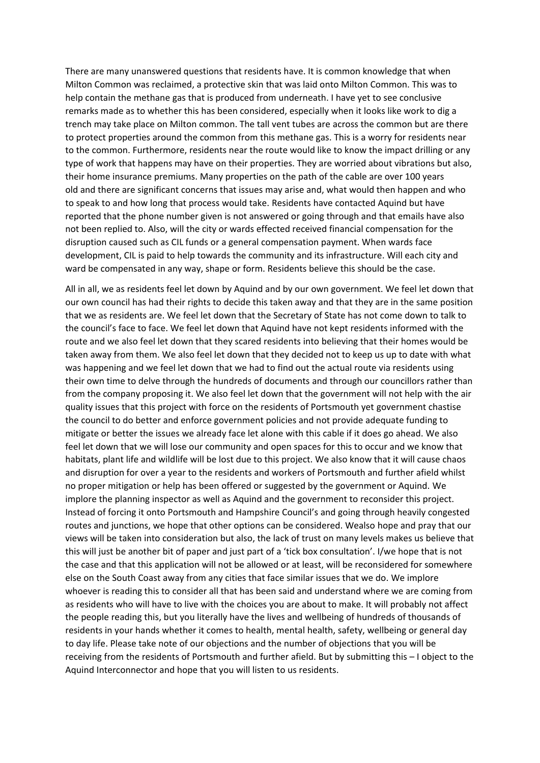There are many unanswered questions that residents have. It is common knowledge that when Milton Common was reclaimed, a protective skin that was laid onto Milton Common. This was to help contain the methane gas that is produced from underneath. I have yet to see conclusive remarks made as to whether this has been considered, especially when it looks like work to dig a trench may take place on Milton common. The tall vent tubes are across the common but are there to protect properties around the common from this methane gas. This is a worry for residents near to the common. Furthermore, residents near the route would like to know the impact drilling or any type of work that happens may have on their properties. They are worried about vibrations but also, their home insurance premiums. Many properties on the path of the cable are over 100 years old and there are significant concerns that issues may arise and, what would then happen and who to speak to and how long that process would take. Residents have contacted Aquind but have reported that the phone number given is not answered or going through and that emails have also not been replied to. Also, will the city or wards effected received financial compensation for the disruption caused such as CIL funds or a general compensation payment. When wards face development, CIL is paid to help towards the community and its infrastructure. Will each city and ward be compensated in any way, shape or form. Residents believe this should be the case.

All in all, we as residents feel let down by Aquind and by our own government. We feel let down that our own council has had their rights to decide this taken away and that they are in the same position that we as residents are. We feel let down that the Secretary of State has not come down to talk to the council's face to face. We feel let down that Aquind have not kept residents informed with the route and we also feel let down that they scared residents into believing that their homes would be taken away from them. We also feel let down that they decided not to keep us up to date with what was happening and we feel let down that we had to find out the actual route via residents using their own time to delve through the hundreds of documents and through our councillors rather than from the company proposing it. We also feel let down that the government will not help with the air quality issues that this project with force on the residents of Portsmouth yet government chastise the council to do better and enforce government policies and not provide adequate funding to mitigate or better the issues we already face let alone with this cable if it does go ahead. We also feel let down that we will lose our community and open spaces for this to occur and we know that habitats, plant life and wildlife will be lost due to this project. We also know that it will cause chaos and disruption for over a year to the residents and workers of Portsmouth and further afield whilst no proper mitigation or help has been offered or suggested by the government or Aquind. We implore the planning inspector as well as Aquind and the government to reconsider this project. Instead of forcing it onto Portsmouth and Hampshire Council's and going through heavily congested routes and junctions, we hope that other options can be considered. Wealso hope and pray that our views will be taken into consideration but also, the lack of trust on many levels makes us believe that this will just be another bit of paper and just part of a 'tick box consultation'. I/we hope that is not the case and that this application will not be allowed or at least, will be reconsidered for somewhere else on the South Coast away from any cities that face similar issues that we do. We implore whoever is reading this to consider all that has been said and understand where we are coming from as residents who will have to live with the choices you are about to make. It will probably not affect the people reading this, but you literally have the lives and wellbeing of hundreds of thousands of residents in your hands whether it comes to health, mental health, safety, wellbeing or general day to day life. Please take note of our objections and the number of objections that you will be receiving from the residents of Portsmouth and further afield. But by submitting this – I object to the Aquind Interconnector and hope that you will listen to us residents.